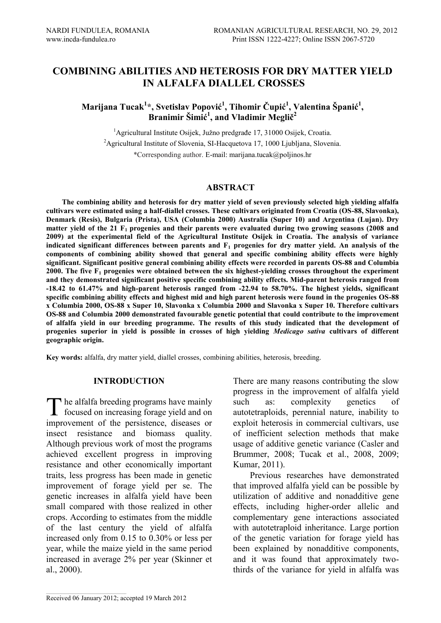# **COMBINING ABILITIES AND HETEROSIS FOR DRY MATTER YIELD IN ALFALFA DIALLEL CROSSES**

## **Marijana Tucak<sup>1</sup> \*, Svetislav Popović<sup>1</sup> , Tihomir Čupić<sup>1</sup> , Valentina Španić<sup>1</sup> , Branimir Šimić<sup>1</sup> , and Vladimir Meglič<sup>2</sup>**

<sup>1</sup>Agricultural Institute Osijek, Južno predgrađe 17, 31000 Osijek, Croatia. <sup>2</sup>Agricultural Institute of Slovenia, SI-Hacquetova 17, 1000 Ljubljana, Slovenia. \*Corresponding author. E-mail[: marijana.tucak@poljinos.hr](mailto:marijana.tucak@poljinos.hr)

### **ABSTRACT**

**The combining ability and heterosis for dry matter yield of seven previously selected high yielding alfalfa cultivars were estimated using a half-diallel crosses. These cultivars originated from Croatia (OS-88, Slavonka), Denmark (Resis), Bulgaria (Prista), USA (Columbia 2000) Australia (Super 10) and Argentina (Lujan). Dry matter yield of the 21 F1 progenies and their parents were evaluated during two growing seasons (2008 and 2009) at the experimental field of the Agricultural Institute Osijek in Croatia. The analysis of variance indicated significant differences between parents and F<sup>1</sup> progenies for dry matter yield. An analysis of the components of combining ability showed that general and specific combining ability effects were highly significant. Significant positive general combining ability effects were recorded in parents OS-88 and Columbia 2000. The five F<sup>1</sup> progenies were obtained between the six highest-yielding crosses throughout the experiment and they demonstrated significant positive specific combining ability effects. Mid-parent heterosis ranged from -18.42 to 61.47% and high-parent heterosis ranged from -22.94 to 58.70%. The highest yields, significant specific combining ability effects and highest mid and high parent heterosis were found in the progenies OS-88 x Columbia 2000, OS-88 x Super 10, Slavonka x Columbia 2000 and Slavonka x Super 10. Therefore cultivars OS-88 and Columbia 2000 demonstrated favourable genetic potential that could contribute to the improvement of alfalfa yield in our breeding programme. The results of this study indicated that the development of progenies superior in yield is possible in crosses of high yielding** *Medicago sativa* **cultivars of different geographic origin.** 

**Key words:** alfalfa, dry matter yield, diallel crosses, combining abilities, heterosis, breeding.

#### **INTRODUCTION**

he alfalfa breeding programs have mainly The alfalfa breeding programs have mainly<br>focused on increasing forage yield and on improvement of the persistence, diseases or insect resistance and biomass quality. Although previous work of most the programs achieved excellent progress in improving resistance and other economically important traits, less progress has been made in genetic improvement of forage yield per se. The genetic increases in alfalfa yield have been small compared with those realized in other crops. According to estimates from the middle of the last century the yield of alfalfa increased only from 0.15 to 0.30% or less per year, while the maize yield in the same period increased in average 2% per year (Skinner et al., 2000).

There are many reasons contributing the slow progress in the improvement of alfalfa yield such as: complexity genetics of autotetraploids, perennial nature, inability to exploit heterosis in commercial cultivars, use of inefficient selection methods that make usage of additive genetic variance (Casler and Brummer, 2008; Tucak et al., 2008, 2009; Kumar, 2011).

Previous researches have demonstrated that improved alfalfa yield can be possible by utilization of additive and nonadditive gene effects, including higher-order allelic and complementary gene interactions associated with autotetraploid inheritance. Large portion of the genetic variation for forage yield has been explained by nonadditive components, and it was found that approximately twothirds of the variance for yield in alfalfa was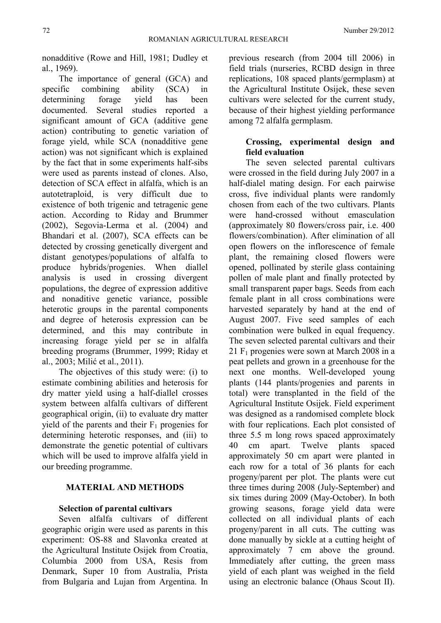nonadditive (Rowe and Hill, 1981; Dudley et al., 1969).

The importance of general (GCA) and specific combining ability (SCA) in determining forage yield has been documented. Several studies reported a significant amount of GCA (additive gene action) contributing to genetic variation of forage yield, while SCA (nonadditive gene action) was not significant which is explained by the fact that in some experiments half-sibs were used as parents instead of clones. Also, detection of SCA effect in alfalfa, which is an autotetraploid, is very difficult due to existence of both trigenic and tetragenic gene action. According to Riday and Brummer (2002), Segovia-Lerma et al. (2004) and Bhandari et al. (2007), SCA effects can be detected by crossing genetically divergent and distant genotypes/populations of alfalfa to produce hybrids/progenies. When diallel analysis is used in crossing divergent populations, the degree of expression additive and nonaditive genetic variance, possible heterotic groups in the parental components and degree of heterosis expression can be determined, and this may contribute in increasing forage yield per se in alfalfa breeding programs (Brummer, 1999; Riday et al., 2003; Milić et al., 2011).

The objectives of this study were: (i) to estimate combining abilities and heterosis for dry matter yield using a half-diallel crosses system between alfalfa cultivars of different geographical origin, (ii) to evaluate dry matter yield of the parents and their  $F_1$  progenies for determining heterotic responses, and (iii) to demonstrate the genetic potential of cultivars which will be used to improve alfalfa yield in our breeding programme.

## **MATERIAL AND METHODS**

#### **Selection of parental cultivars**

Seven alfalfa cultivars of different geographic origin were used as parents in this experiment: OS-88 and Slavonka created at the Agricultural Institute Osijek from Croatia, Columbia 2000 from USA, Resis from Denmark, Super 10 from Australia, Prista from Bulgaria and Lujan from Argentina. In previous research (from 2004 till 2006) in field trials (nurseries, RCBD design in three replications, 108 spaced plants/germplasm) at the Agricultural Institute Osijek, these seven cultivars were selected for the current study, because of their highest yielding performance among 72 alfalfa germplasm.

## **Crossing, experimental design and field evaluation**

The seven selected parental cultivars were crossed in the field during July 2007 in a half-dialel mating design. For each pairwise cross, five individual plants were randomly chosen from each of the two cultivars. Plants were hand-crossed without emasculation (approximately 80 flowers/cross pair, i.e. 400 flowers/combination). After elimination of all open flowers on the inflorescence of female plant, the remaining closed flowers were opened, pollinated by sterile glass containing pollen of male plant and finally protected by small transparent paper bags. Seeds from each female plant in all cross combinations were harvested separately by hand at the end of August 2007. Five seed samples of each combination were bulked in equal frequency. The seven selected parental cultivars and their  $21 \text{ F}_1$  progenies were sown at March 2008 in a peat pellets and grown in a greenhouse for the next one months. Well-developed young plants (144 plants/progenies and parents in total) were transplanted in the field of the Agricultural Institute Osijek. Field experiment was designed as a randomised complete block with four replications. Each plot consisted of three 5.5 m long rows spaced approximately 40 cm apart. Twelve plants spaced approximately 50 cm apart were planted in each row for a total of 36 plants for each progeny/parent per plot. The plants were cut three times during 2008 (July-September) and six times during 2009 (May-October). In both growing seasons, forage yield data were collected on all individual plants of each progeny/parent in all cuts. The cutting was done manually by sickle at a cutting height of approximately 7 cm above the ground. Immediately after cutting, the green mass yield of each plant was weighed in the field using an electronic balance (Ohaus Scout II).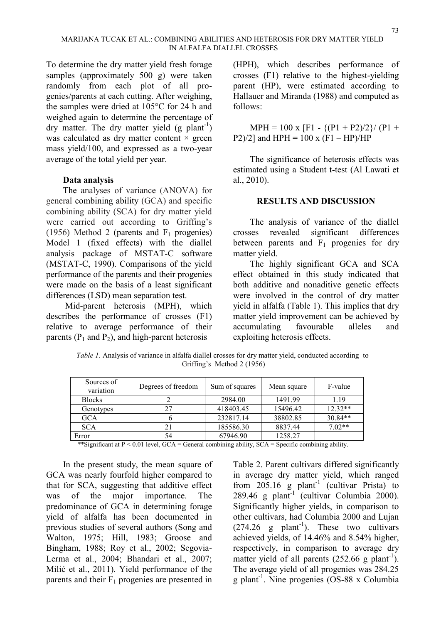To determine the dry matter yield fresh forage samples (approximately 500 g) were taken randomly from each plot of all progenies/parents at each cutting. After weighing, the samples were dried at 105°C for 24 h and weighed again to determine the percentage of dry matter. The dry matter yield  $(g$  plant<sup>-1</sup>) was calculated as dry matter content  $\times$  green mass yield/100, and expressed as a two-year average of the total yield per year.

### **Data analysis**

The analyses of variance (ANOVA) for general combining ability (GCA) and specific combining ability (SCA) for dry matter yield were carried out according to Griffing's (1956) Method 2 (parents and  $F_1$  progenies) Model 1 (fixed effects) with the diallel analysis package of MSTAT-C software (MSTAT-C, 1990). Comparisons of the yield performance of the parents and their progenies were made on the basis of a least significant differences (LSD) mean separation test.

Mid-parent heterosis (MPH), which describes the performance of crosses (F1) relative to average performance of their parents  $(P_1$  and  $P_2$ ), and high-parent heterosis

(HPH), which describes performance of crosses (F1) relative to the highest-yielding parent (HP), were estimated according to Hallauer and Miranda (1988) and computed as follows:

 $MPH = 100 \text{ x } [F1 - \{(P1 + P2)/2\} / (P1 +$ P2 $/2$ ] and HPH = 100 x (F1 – HP $/H$ P

The significance of heterosis effects was estimated using a Student t-test (Al Lawati et al., 2010).

### **RESULTS AND DISCUSSION**

The analysis of variance of the diallel crosses revealed significant differences between parents and  $F_1$  progenies for dry matter yield.

The highly significant GCA and SCA effect obtained in this study indicated that both additive and nonaditive genetic effects were involved in the control of dry matter yield in alfalfa (Table 1). This implies that dry matter yield improvement can be achieved by accumulating favourable alleles and exploiting heterosis effects.

*Table 1*. Analysis of variance in alfalfa diallel crosses for dry matter yield, conducted according to Griffing's Method 2 (1956)

| Sources of<br>variation | Degrees of freedom | Sum of squares | Mean square | F-value   |
|-------------------------|--------------------|----------------|-------------|-----------|
| <b>Blocks</b>           |                    | 2984.00        | 1491.99     | 1.19      |
| Genotypes               | 27                 | 418403.45      | 15496.42    | $12.32**$ |
| GCA                     |                    | 232817.14      | 38802.85    | 30.84**   |
| <b>SCA</b>              | 21                 | 185586.30      | 8837.44     | $7.02**$  |
| Error                   | 54                 | 67946.90       | 1258.27     |           |

\*\*Significant at P < 0.01 level, GCA = General combining ability, SCA = Specific combining ability.

In the present study, the mean square of GCA was nearly fourfold higher compared to that for SCA, suggesting that additive effect was of the major importance. The predominance of GCA in determining forage yield of alfalfa has been documented in previous studies of several authors (Song and Walton, 1975; Hill, 1983; Groose and Bingham, 1988; Roy et al., 2002; Segovia-Lerma et al., 2004; Bhandari et al., 2007; Milić et al., 2011). Yield performance of the parents and their  $F_1$  progenies are presented in Table 2. Parent cultivars differed significantly in average dry matter yield, which ranged from  $205.16$  g plant<sup>-1</sup> (cultivar Prista) to  $289.46$  g plant<sup>-1</sup> (cultivar Columbia 2000). Significantly higher yields, in comparison to other cultivars, had Columbia 2000 and Lujan  $(274.26 \text{ g plant}^{-1})$ . These two cultivars achieved yields, of 14.46% and 8.54% higher, respectively, in comparison to average dry matter yield of all parents  $(252.66 \text{ g plant}^{-1})$ . The average yield of all progenies was 284.25 g plant-1 . Nine progenies (OS-88 x Columbia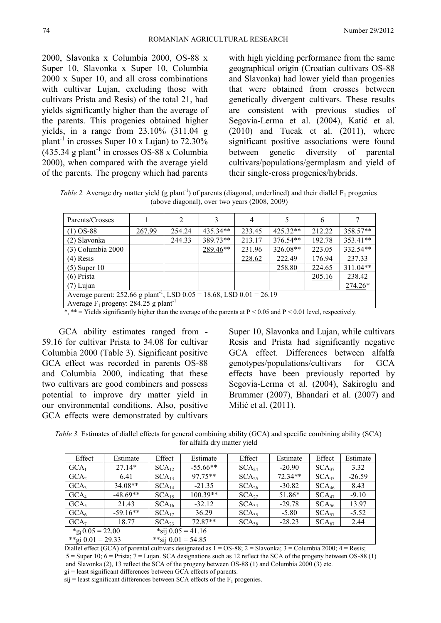2000, Slavonka x Columbia 2000, OS-88 x Super 10, Slavonka x Super 10, Columbia 2000 x Super 10, and all cross combinations with cultivar Lujan, excluding those with cultivars Prista and Resis) of the total 21, had yields significantly higher than the average of the parents. This progenies obtained higher yields, in a range from 23.10% (311.04 g plant<sup>-1</sup> in crosses Super 10 x Lujan) to  $72.30\%$  $(435.34 \text{ g plant}^{-1} \text{ in crosses OS-88 x Columbia})$ 2000), when compared with the average yield of the parents. The progeny which had parents

with high yielding performance from the same geographical origin (Croatian cultivars OS-88 and Slavonka) had lower yield than progenies that were obtained from crosses between genetically divergent cultivars. These results are consistent with previous studies of Segovia-Lerma et al. (2004), Katić et al.  $(2010)$  and Tucak et al.  $(2011)$ , where significant positive associations were found between genetic diversity of parental cultivars/populations/germplasm and yield of their single-cross progenies/hybrids.

*Table 2.* Average dry matter yield (g plant<sup>-1</sup>) of parents (diagonal, underlined) and their diallel  $F_1$  progenies (above diagonal), over two years (2008, 2009)

| Parents/Crosses                                                                                                                       |        | 2      | 3          | 4      |            | 6      |            |
|---------------------------------------------------------------------------------------------------------------------------------------|--------|--------|------------|--------|------------|--------|------------|
| $(1)$ OS-88                                                                                                                           | 267.99 | 254.24 | $435.34**$ | 233.45 | $425.32**$ | 212.22 | 358.57**   |
| (2) Slavonka                                                                                                                          |        | 244.33 | 389.73**   | 213.17 | 376.54**   | 192.78 | 353.41**   |
| (3) Columbia 2000                                                                                                                     |        |        | 289.46**   | 231.96 | 326.08**   | 223.05 | 332.54**   |
| $(4)$ Resis                                                                                                                           |        |        |            | 228.62 | 222.49     | 176.94 | 237.33     |
| $(5)$ Super 10                                                                                                                        |        |        |            |        | 258.80     | 224.65 | $311.04**$ |
| (6) Prista                                                                                                                            |        |        |            |        |            | 205.16 | 238.42     |
| $(7)$ Lujan                                                                                                                           |        |        |            |        |            |        | $274.26*$  |
| Average parent: 252.66 g plant <sup>-1</sup> , LSD $0.05 = 18.68$ , LSD $0.01 = 26.19$                                                |        |        |            |        |            |        |            |
| Average $F_1$ progeny: 284.25 g plant <sup>-1</sup>                                                                                   |        |        |            |        |            |        |            |
| $*$ $**$ $\sim$ Vialde significantly higher than the evergen of the perents of $R \times 0.05$ and $R \times 0.01$ level respectively |        |        |            |        |            |        |            |

Yields significantly higher than the average of the parents at  $P < 0.05$  and  $P < 0.01$  level, respectively.

GCA ability estimates ranged from - 59.16 for cultivar Prista to 34.08 for cultivar Columbia 2000 (Table 3). Significant positive GCA effect was recorded in parents OS-88 and Columbia 2000, indicating that these two cultivars are good combiners and possess potential to improve dry matter yield in our environmental conditions. Also, positive GCA effects were demonstrated by cultivars

Super 10, Slavonka and Lujan, while cultivars Resis and Prista had significantly negative GCA effect. Differences between alfalfa genotypes/populations/cultivars for GCA effects have been previously reported by Segovia-Lerma et al. (2004), Sakiroglu and Brummer (2007), Bhandari et al. (2007) and Milić et al. (2011).

*Table 3.* Estimates of diallel effects for general combining ability (GCA) and specific combining ability (SCA) for alfalfa dry matter yield

| Effect                          | Estimate   | Effect               | Estimate   | Effect            | Estimate | Effect            | Estimate |  |
|---------------------------------|------------|----------------------|------------|-------------------|----------|-------------------|----------|--|
| GCA <sub>1</sub>                | $27.14*$   | $SCA_{12}$           | $-55.66**$ | $SCA_{24}$        | $-20.90$ | SCA <sub>37</sub> | 3.32     |  |
| GCA <sub>2</sub>                | 6.41       | $SCA_{13}$           | $97.75**$  | SCA <sub>25</sub> | 72.34**  | SCA <sub>45</sub> | $-26.59$ |  |
| GCA <sub>3</sub>                | $34.08**$  | SCA <sub>14</sub>    | $-21.35$   | SCA <sub>26</sub> | $-30.82$ | SCA <sub>46</sub> | 8.43     |  |
| GCA <sub>4</sub>                | $-48.69**$ | SCA <sub>15</sub>    | $100.39**$ | $SCA_{27}$        | 51.86*   | SCA <sub>47</sub> | $-9.10$  |  |
| GCA <sub>5</sub>                | 21.43      | SCA <sub>16</sub>    | $-32.12$   | SCA <sub>34</sub> | $-29.78$ | SCA <sub>56</sub> | 13.97    |  |
| GCA <sub>6</sub>                | $-59.16**$ | $SCA_{17}$           | 36.29      | SCA <sub>35</sub> | $-5.80$  | SCA <sub>57</sub> | $-5.52$  |  |
| GCA <sub>7</sub>                | 18.77      | $SCA_{23}$           | 72.87**    | SCA <sub>36</sub> | $-28.23$ | SCA <sub>67</sub> | 2.44     |  |
| $*_g$ <sub>i</sub> 0.05 = 22.00 |            | *sij $0.05 = 41.16$  |            |                   |          |                   |          |  |
| **gi $0.01 = 29.33$             |            | **sij $0.01 = 54.85$ |            |                   |          |                   |          |  |

Diallel effect (GCA) of parental cultivars designated as  $1 = OS-88$ ;  $2 = Slavonka$ ;  $3 = Columbia 2000$ ;  $4 = Resis$ ;  $5 =$  Super 10;  $6 =$  Prista;  $7 =$  Lujan. SCA designations such as 12 reflect the SCA of the progeny between OS-88 (1) and Slavonka (2), 13 reflect the SCA of the progeny between OS-88 (1) and Columbia 2000 (3) etc.

gi = least significant differences between GCA effects of parents.

 $si$  = least significant differences between SCA effects of the  $F_1$  progenies.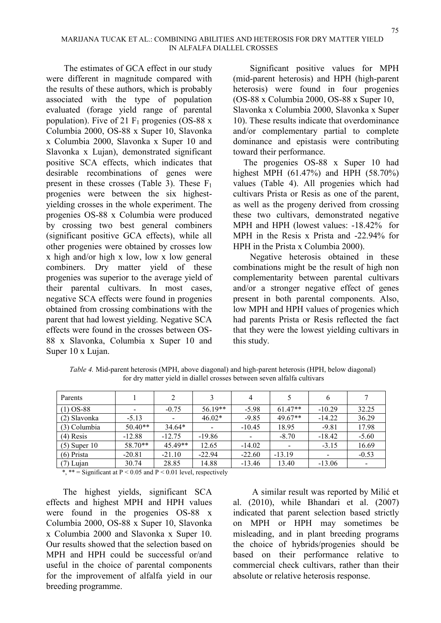The estimates of GCA effect in our study were different in magnitude compared with the results of these authors, which is probably associated with the type of population evaluated (forage yield range of parental population). Five of 21  $F_1$  progenies (OS-88 x Columbia 2000, OS-88 x Super 10, Slavonka x Columbia 2000, Slavonka x Super 10 and Slavonka x Lujan), demonstrated significant positive SCA effects, which indicates that desirable recombinations of genes were present in these crosses (Table 3). These  $F_1$ progenies were between the six highestyielding crosses in the whole experiment. The progenies OS-88 x Columbia were produced by crossing two best general combiners (significant positive GCA effects), while all other progenies were obtained by crosses low x high and/or high x low, low x low general combiners. Dry matter yield of these progenies was superior to the average yield of their parental cultivars. In most cases, negative SCA effects were found in progenies obtained from crossing combinations with the parent that had lowest yielding. Negative SCA effects were found in the crosses between OS-88 x Slavonka, Columbia x Super 10 and Super 10 x Lujan.

Significant positive values for MPH (mid-parent heterosis) and HPH (high-parent heterosis) were found in four progenies (OS-88 x Columbia 2000, OS-88 x Super 10, Slavonka x Columbia 2000, Slavonka x Super 10). These results indicate that overdominance and/or complementary partial to complete dominance and epistasis were contributing toward their performance.

The progenies OS-88 x Super 10 had highest MPH (61.47%) and HPH (58.70%) values (Table 4). All progenies which had cultivars Prista or Resis as one of the parent, as well as the progeny derived from crossing these two cultivars, demonstrated negative MPH and HPH (lowest values: -18.42% for MPH in the Resis x Prista and -22.94% for HPH in the Prista x Columbia 2000).

Negative heterosis obtained in these combinations might be the result of high non complementarity between parental cultivars and/or a stronger negative effect of genes present in both parental components. Also, low MPH and HPH values of progenies which had parents Prista or Resis reflected the fact that they were the lowest yielding cultivars in this study.

| Parents        |           |           |           | 4        |           |          |         |
|----------------|-----------|-----------|-----------|----------|-----------|----------|---------|
| $(1)$ OS-88    |           | $-0.75$   | $56.19**$ | $-5.98$  | $61.47**$ | $-10.29$ | 32.25   |
| (2) Slavonka   | $-5.13$   |           | $46.02*$  | $-9.85$  | $49.67**$ | $-14.22$ | 36.29   |
| (3) Columbia   | $50.40**$ | $34.64*$  |           | $-10.45$ | 18.95     | $-9.81$  | 17.98   |
| $(4)$ Resis    | $-12.88$  | $-12.75$  | $-19.86$  |          | $-8.70$   | $-18.42$ | $-5.60$ |
| $(5)$ Super 10 | 58.70**   | $45.49**$ | 12.65     | $-14.02$ |           | $-3.15$  | 16.69   |

(6) Prista -20.81 -21.10 -22.94 -22.60 -13.19 - -0.53 (7) Lujan | 30.74 | 28.85 | 14.88 | -13.46 | 13.40 | -13.06 | -

*Table 4.* Mid-parent heterosis (MPH, above diagonal) and high-parent heterosis (HPH, below diagonal) for dry matter yield in diallel crosses between seven alfalfa cultivars

\*, \*\* = Significant at  $P < 0.05$  and  $P < 0.01$  level, respectively

The highest yields, significant SCA effects and highest MPH and HPH values were found in the progenies OS-88 x Columbia 2000, OS-88 x Super 10, Slavonka x Columbia 2000 and Slavonka x Super 10. Our results showed that the selection based on MPH and HPH could be successful or/and useful in the choice of parental components for the improvement of alfalfa yield in our breeding programme.

A similar result was reported by Milić et al. (2010), while Bhandari et al. (2007) indicated that parent selection based strictly on MPH or HPH may sometimes be misleading, and in plant breeding programs the choice of hybrids/progenies should be based on their performance relative to commercial check cultivars, rather than their absolute or relative heterosis response.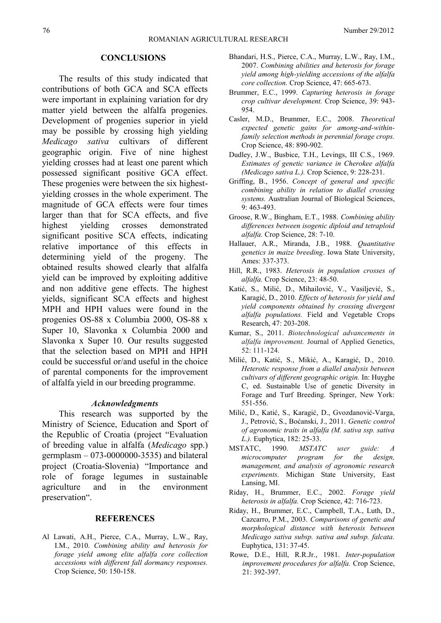#### **CONCLUSIONS**

The results of this study indicated that contributions of both GCA and SCA effects were important in explaining variation for dry matter yield between the alfalfa progenies. Development of progenies superior in yield may be possible by crossing high yielding *Medicago sativa* cultivars of different geographic origin. Five of nine highest yielding crosses had at least one parent which possessed significant positive GCA effect. These progenies were between the six highestyielding crosses in the whole experiment. The magnitude of GCA effects were four times larger than that for SCA effects, and five highest yielding crosses demonstrated significant positive SCA effects, indicating relative importance of this effects in determining yield of the progeny. The obtained results showed clearly that alfalfa yield can be improved by exploiting additive and non additive gene effects. The highest yields, significant SCA effects and highest MPH and HPH values were found in the progenies OS-88 x Columbia 2000, OS-88 x Super 10, Slavonka x Columbia 2000 and Slavonka x Super 10. Our results suggested that the selection based on MPH and HPH could be successful or/and useful in the choice of parental components for the improvement of alfalfa yield in our breeding programme.

#### *Acknowledgments*

This research was supported by the Ministry of Science, Education and Sport of the Republic of Croatia (project "Evaluation of breeding value in alfalfa (*Medicago* spp.) germplasm  $-073-0000000-3535$ ) and bilateral project (Croatia-Slovenia) "Importance and role of forage legumes in sustainable agriculture and in the environment preservation".

#### **REFERENCES**

Al Lawati, A.H., Pierce, C.A., Murray, L.W., Ray, I.M., 2010. *Combining ability and heterosis for forage yield among elite alfalfa core collection accessions with different fall dormancy responses.* Crop Science, 50: 150-158.

- Bhandari, H.S., Pierce, C.A., Murray, L.W., Ray, I.M., 2007. *Combining abilities and heterosis for forage yield among high-yielding accessions of the alfalfa core collection.* Crop Science, 47: 665-673.
- Brummer, E.C., 1999. *Capturing heterosis in forage crop cultivar development.* Crop Science, 39: 943- 954.
- Casler, M.D., Brummer, E.C., 2008. *Theoretical expected genetic gains for among-and-withinfamily selection methods in perennial forage crops.* Crop Science, 48: 890-902.
- Dudley, J.W., Busbice, T.H., Levings, III C.S., 1969. *Estimates of genetic variance in Cherokee alfalfa (Medicago sativa L.).* Crop Science, 9: 228-231.
- Griffing, B., 1956. *Concept of general and specific combining ability in relation to diallel crossing systems.* Australian Journal of Biological Sciences, 9: 463-493.
- Groose, R.W., Bingham, E.T., 1988. *Combining ability differences between isogenic diploid and tetraploid alfalfa.* Crop Science, 28: 7-10.
- Hallauer, A.R., Miranda, J.B., 1988. *Quantitative genetics in maize breeding*. Iowa State University, Ames: 337-373.
- Hill, R.R., 1983. *Heterosis in population crosses of alfalfa.* Crop Science, 23: 48-50.
- Katić, S., Milić, D., Mihailović, V., Vasiljević, S., Karagić, D., 2010. *Effects of heterosis for yield and yield components obtained by crossing divergent alfalfa populations.* Field and Vegetable Crops Research, 47: 203-208.
- Kumar, S., 2011. *Biotechnological advancements in alfalfa improvement.* Journal of Applied Genetics, 52: 111-124.
- Milić, D., Katić, S., Mikić, A., Karagić, D., 2010. *Heterotic response from a diallel analysis between cultivars of different geographic origin.* In: Huyghe C, ed. Sustainable Use of genetic Diversity in Forage and Turf Breeding. Springer, New York: 551-556.
- Milić, D., Katić, S., Karagić, D., Gvozdanović-Varga, J., Petrović, S., Boćanski, J., 2011. *Genetic control of agronomic traits in alfalfa (M. sativa ssp. sativa L.).* Euphytica, 182: 25-33.
- MSTATC, 1990. *MSTATC user guide: A microcomputer program for the design, management, and analysis of agronomic research experiments*. Michigan State University, East Lansing, MI.
- Riday, H., Brummer, E.C., 2002. *Forage yield heterosis in alfalfa.* Crop Science, 42: 716-723.
- Riday, H., Brummer, E.C., Campbell, T.A., Luth, D., Cazcarro, P.M., 2003. *Comparisons of genetic and morphological distance with heterosis between Medicago sativa subsp. sativa and subsp. falcata.* Euphytica, 131: 37-45.
- Rowe, D.E., Hill, R.R.Jr., 1981. *Inter-population improvement procedures for alfalfa.* Crop Science, 21: 392-397.